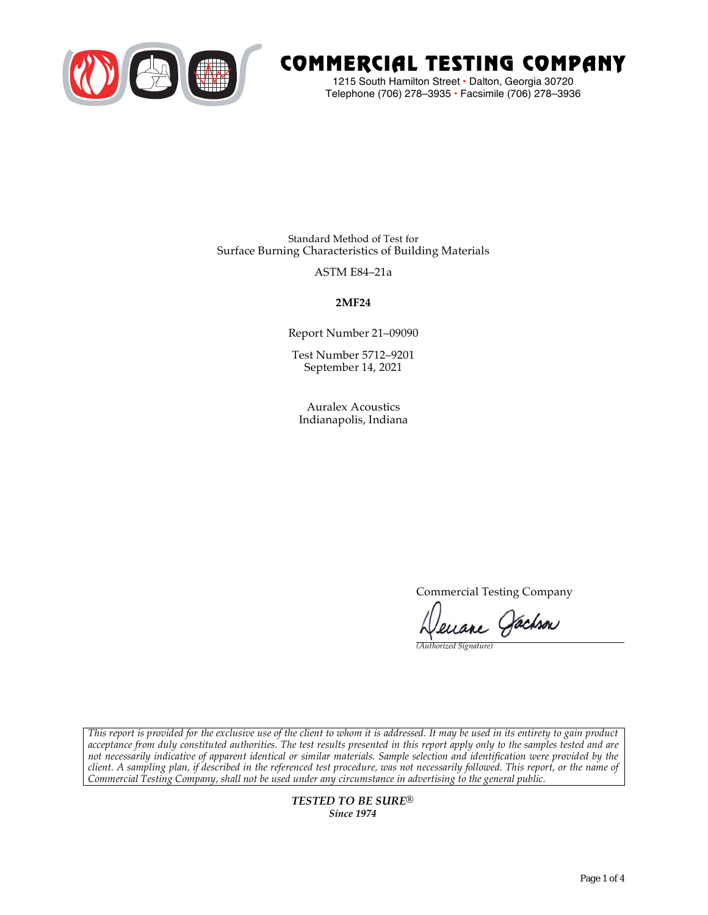

# COMMERCIAL TESTING COMPANY

1215 South Hamilton Street • Dalton, Georgia 30720 Telephone (706) 278–3935 **•** Facsimile (706) 278–3936

Standard Method of Test for Surface Burning Characteristics of Building Materials

ASTM E84–21a

**2MF24**

Report Number 21–09090

Test Number 5712–9201 September 14, 2021

Auralex Acoustics Indianapolis, Indiana

Commercial Testing Company

enane Jachson

*(Authorized Signature)* 

*This report is provided for the exclusive use of the client to whom it is addressed. It may be used in its entirety to gain product acceptance from duly constituted authorities. The test results presented in this report apply only to the samples tested and are not necessarily indicative of apparent identical or similar materials. Sample selection and identification were provided by the client. A sampling plan, if described in the referenced test procedure, was not necessarily followed. This report, or the name of Commercial Testing Company, shall not be used under any circumstance in advertising to the general public.* 

> *TESTED TO BE SURE® Since 1974*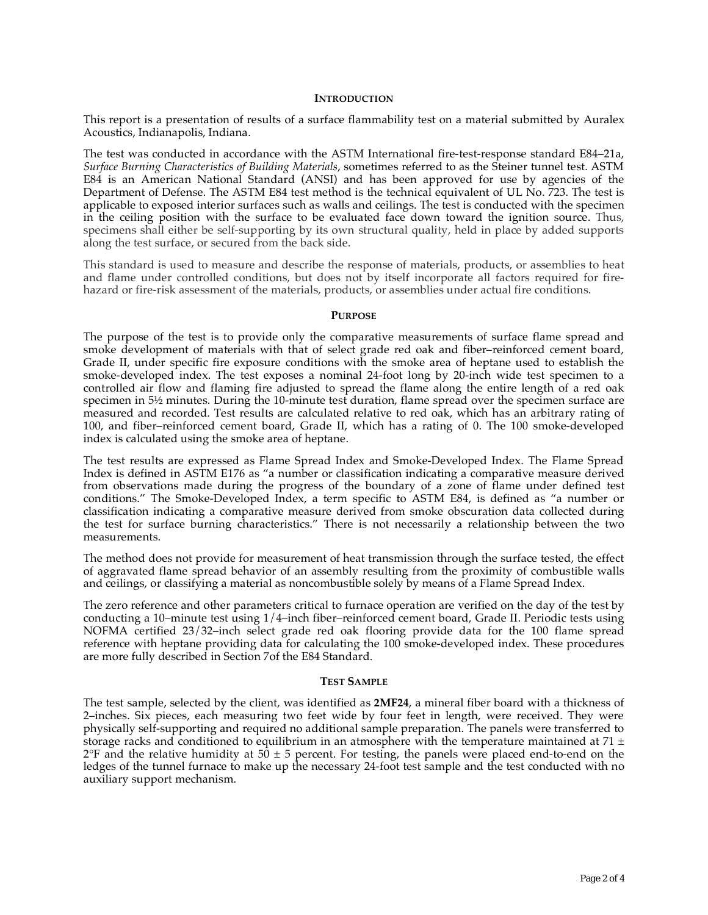#### **INTRODUCTION**

This report is a presentation of results of a surface flammability test on a material submitted by Auralex Acoustics, Indianapolis, Indiana.

The test was conducted in accordance with the ASTM International fire-test-response standard E84–21a, *Surface Burning Characteristics of Building Materials*, sometimes referred to as the Steiner tunnel test. ASTM E84 is an American National Standard (ANSI) and has been approved for use by agencies of the Department of Defense. The ASTM E84 test method is the technical equivalent of UL No. 723. The test is applicable to exposed interior surfaces such as walls and ceilings. The test is conducted with the specimen in the ceiling position with the surface to be evaluated face down toward the ignition source. Thus, specimens shall either be self-supporting by its own structural quality, held in place by added supports along the test surface, or secured from the back side.

This standard is used to measure and describe the response of materials, products, or assemblies to heat and flame under controlled conditions, but does not by itself incorporate all factors required for firehazard or fire-risk assessment of the materials, products, or assemblies under actual fire conditions.

#### **PURPOSE**

The purpose of the test is to provide only the comparative measurements of surface flame spread and smoke development of materials with that of select grade red oak and fiber–reinforced cement board, Grade II, under specific fire exposure conditions with the smoke area of heptane used to establish the smoke-developed index. The test exposes a nominal 24-foot long by 20-inch wide test specimen to a controlled air flow and flaming fire adjusted to spread the flame along the entire length of a red oak specimen in  $5\frac{1}{2}$  minutes. During the 10-minute test duration, flame spread over the specimen surface are measured and recorded. Test results are calculated relative to red oak, which has an arbitrary rating of 100, and fiber–reinforced cement board, Grade II, which has a rating of 0. The 100 smoke-developed index is calculated using the smoke area of heptane.

The test results are expressed as Flame Spread Index and Smoke-Developed Index. The Flame Spread Index is defined in ASTM E176 as "a number or classification indicating a comparative measure derived from observations made during the progress of the boundary of a zone of flame under defined test conditions." The Smoke-Developed Index, a term specific to ASTM E84, is defined as "a number or classification indicating a comparative measure derived from smoke obscuration data collected during the test for surface burning characteristics." There is not necessarily a relationship between the two measurements.

The method does not provide for measurement of heat transmission through the surface tested, the effect of aggravated flame spread behavior of an assembly resulting from the proximity of combustible walls and ceilings, or classifying a material as noncombustible solely by means of a Flame Spread Index.

The zero reference and other parameters critical to furnace operation are verified on the day of the test by conducting a 10–minute test using 1/4–inch fiber–reinforced cement board, Grade II. Periodic tests using NOFMA certified 23/32–inch select grade red oak flooring provide data for the 100 flame spread reference with heptane providing data for calculating the 100 smoke-developed index. These procedures are more fully described in Section 7of the E84 Standard.

#### **TEST SAMPLE**

The test sample, selected by the client, was identified as **2MF24**, a mineral fiber board with a thickness of 2–inches. Six pieces, each measuring two feet wide by four feet in length, were received. They were physically self-supporting and required no additional sample preparation. The panels were transferred to storage racks and conditioned to equilibrium in an atmosphere with the temperature maintained at 71  $\pm$  $2^{\circ}F$  and the relative humidity at 50  $\pm$  5 percent. For testing, the panels were placed end-to-end on the ledges of the tunnel furnace to make up the necessary 24-foot test sample and the test conducted with no auxiliary support mechanism.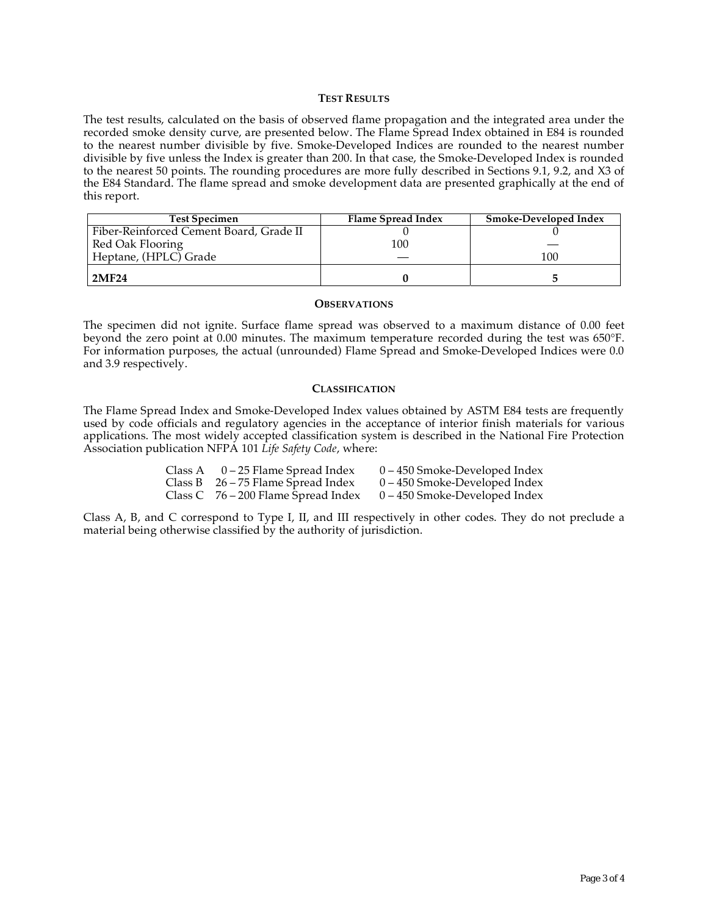### **TEST RESULTS**

The test results, calculated on the basis of observed flame propagation and the integrated area under the recorded smoke density curve, are presented below. The Flame Spread Index obtained in E84 is rounded to the nearest number divisible by five. Smoke-Developed Indices are rounded to the nearest number divisible by five unless the Index is greater than 200. In that case, the Smoke-Developed Index is rounded to the nearest 50 points. The rounding procedures are more fully described in Sections 9.1, 9.2, and X3 of the E84 Standard. The flame spread and smoke development data are presented graphically at the end of this report.

| <b>Test Specimen</b>                    | Flame Spread Index | <b>Smoke-Developed Index</b> |
|-----------------------------------------|--------------------|------------------------------|
| Fiber-Reinforced Cement Board, Grade II |                    |                              |
| Red Oak Flooring                        | 100                |                              |
| Heptane, (HPLC) Grade                   |                    | 100                          |
| 2MF24                                   |                    |                              |

#### **OBSERVATIONS**

The specimen did not ignite. Surface flame spread was observed to a maximum distance of 0.00 feet beyond the zero point at 0.00 minutes. The maximum temperature recorded during the test was 650°F. For information purposes, the actual (unrounded) Flame Spread and Smoke-Developed Indices were 0.0 and 3.9 respectively.

### **CLASSIFICATION**

The Flame Spread Index and Smoke-Developed Index values obtained by ASTM E84 tests are frequently used by code officials and regulatory agencies in the acceptance of interior finish materials for various applications. The most widely accepted classification system is described in the National Fire Protection Association publication NFPA 101 *Life Safety Code*, where:

| Class A $0-25$ Flame Spread Index     | $0 - 450$ Smoke-Developed Index |
|---------------------------------------|---------------------------------|
| Class B $26 - 75$ Flame Spread Index  | $0 - 450$ Smoke-Developed Index |
| Class C $76 - 200$ Flame Spread Index | $0 - 450$ Smoke-Developed Index |

Class A, B, and C correspond to Type I, II, and III respectively in other codes. They do not preclude a material being otherwise classified by the authority of jurisdiction.